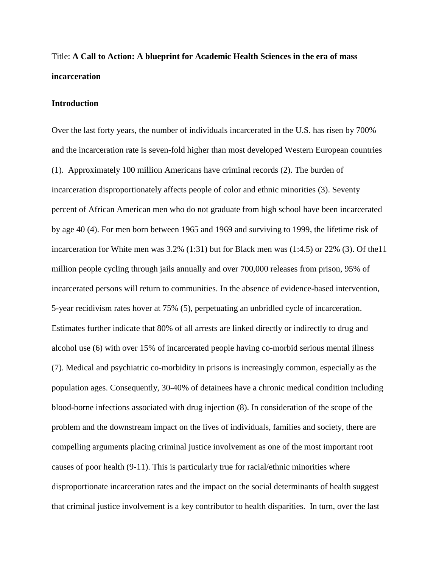# Title: **A Call to Action: A blueprint for Academic Health Sciences in the era of mass incarceration**

#### **Introduction**

Over the last forty years, the number of individuals incarcerated in the U.S. has risen by 700% and the incarceration rate is seven-fold higher than most developed Western European countries (1). Approximately 100 million Americans have criminal records (2). The burden of incarceration disproportionately affects people of color and ethnic minorities (3). Seventy percent of African American men who do not graduate from high school have been incarcerated by age 40 (4). For men born between 1965 and 1969 and surviving to 1999, the lifetime risk of incarceration for White men was 3.2% (1:31) but for Black men was (1:4.5) or 22% (3). Of the11 million people cycling through jails annually and over 700,000 releases from prison, 95% of incarcerated persons will return to communities. In the absence of evidence-based intervention, 5-year recidivism rates hover at 75% (5), perpetuating an unbridled cycle of incarceration. Estimates further indicate that 80% of all arrests are linked directly or indirectly to drug and alcohol use (6) with over 15% of incarcerated people having co-morbid serious mental illness (7). Medical and psychiatric co-morbidity in prisons is increasingly common, especially as the population ages. Consequently, 30-40% of detainees have a chronic medical condition including blood-borne infections associated with drug injection (8). In consideration of the scope of the problem and the downstream impact on the lives of individuals, families and society, there are compelling arguments placing criminal justice involvement as one of the most important root causes of poor health (9-11). This is particularly true for racial/ethnic minorities where disproportionate incarceration rates and the impact on the social determinants of health suggest that criminal justice involvement is a key contributor to health disparities. In turn, over the last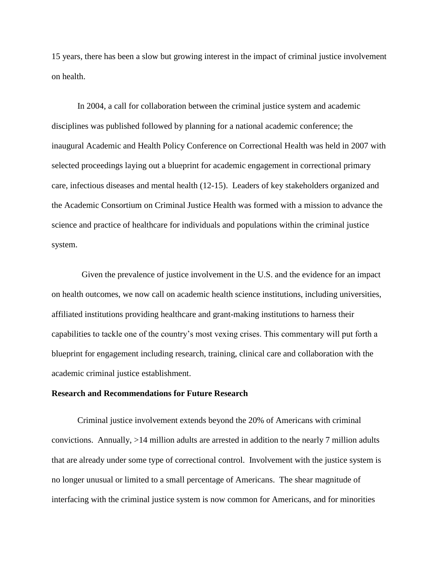15 years, there has been a slow but growing interest in the impact of criminal justice involvement on health.

In 2004, a call for collaboration between the criminal justice system and academic disciplines was published followed by planning for a national academic conference; the inaugural Academic and Health Policy Conference on Correctional Health was held in 2007 with selected proceedings laying out a blueprint for academic engagement in correctional primary care, infectious diseases and mental health (12-15). Leaders of key stakeholders organized and the Academic Consortium on Criminal Justice Health was formed with a mission to advance the science and practice of healthcare for individuals and populations within the criminal justice system.

Given the prevalence of justice involvement in the U.S. and the evidence for an impact on health outcomes, we now call on academic health science institutions, including universities, affiliated institutions providing healthcare and grant-making institutions to harness their capabilities to tackle one of the country's most vexing crises. This commentary will put forth a blueprint for engagement including research, training, clinical care and collaboration with the academic criminal justice establishment.

#### **Research and Recommendations for Future Research**

Criminal justice involvement extends beyond the 20% of Americans with criminal convictions. Annually, >14 million adults are arrested in addition to the nearly 7 million adults that are already under some type of correctional control. Involvement with the justice system is no longer unusual or limited to a small percentage of Americans. The shear magnitude of interfacing with the criminal justice system is now common for Americans, and for minorities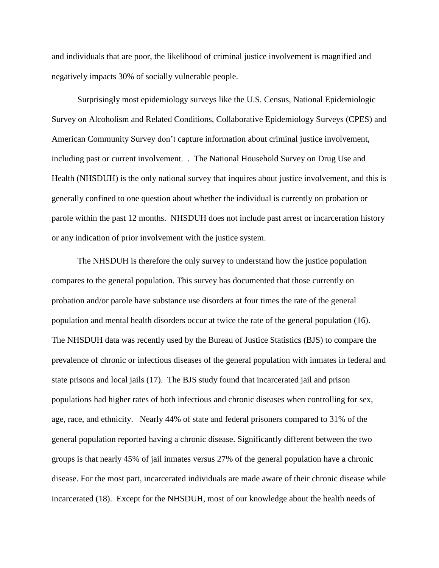and individuals that are poor, the likelihood of criminal justice involvement is magnified and negatively impacts 30% of socially vulnerable people.

Surprisingly most epidemiology surveys like the U.S. Census, National Epidemiologic Survey on Alcoholism and Related Conditions, Collaborative Epidemiology Surveys (CPES) and American Community Survey don't capture information about criminal justice involvement, including past or current involvement. . The National Household Survey on Drug Use and Health (NHSDUH) is the only national survey that inquires about justice involvement, and this is generally confined to one question about whether the individual is currently on probation or parole within the past 12 months. NHSDUH does not include past arrest or incarceration history or any indication of prior involvement with the justice system.

The NHSDUH is therefore the only survey to understand how the justice population compares to the general population. This survey has documented that those currently on probation and/or parole have substance use disorders at four times the rate of the general population and mental health disorders occur at twice the rate of the general population (16). The NHSDUH data was recently used by the Bureau of Justice Statistics (BJS) to compare the prevalence of chronic or infectious diseases of the general population with inmates in federal and state prisons and local jails (17). The BJS study found that incarcerated jail and prison populations had higher rates of both infectious and chronic diseases when controlling for sex, age, race, and ethnicity. Nearly 44% of state and federal prisoners compared to 31% of the general population reported having a chronic disease. Significantly different between the two groups is that nearly 45% of jail inmates versus 27% of the general population have a chronic disease. For the most part, incarcerated individuals are made aware of their chronic disease while incarcerated (18). Except for the NHSDUH, most of our knowledge about the health needs of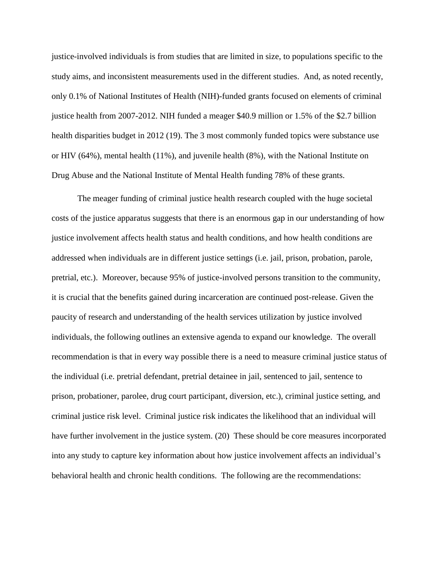justice-involved individuals is from studies that are limited in size, to populations specific to the study aims, and inconsistent measurements used in the different studies. And, as noted recently, only 0.1% of National Institutes of Health (NIH)-funded grants focused on elements of criminal justice health from 2007-2012. NIH funded a meager \$40.9 million or 1.5% of the \$2.7 billion health disparities budget in 2012 (19). The 3 most commonly funded topics were substance use or HIV (64%), mental health (11%), and juvenile health (8%), with the National Institute on Drug Abuse and the National Institute of Mental Health funding 78% of these grants.

The meager funding of criminal justice health research coupled with the huge societal costs of the justice apparatus suggests that there is an enormous gap in our understanding of how justice involvement affects health status and health conditions, and how health conditions are addressed when individuals are in different justice settings (i.e. jail, prison, probation, parole, pretrial, etc.). Moreover, because 95% of justice-involved persons transition to the community, it is crucial that the benefits gained during incarceration are continued post-release. Given the paucity of research and understanding of the health services utilization by justice involved individuals, the following outlines an extensive agenda to expand our knowledge. The overall recommendation is that in every way possible there is a need to measure criminal justice status of the individual (i.e. pretrial defendant, pretrial detainee in jail, sentenced to jail, sentence to prison, probationer, parolee, drug court participant, diversion, etc.), criminal justice setting, and criminal justice risk level. Criminal justice risk indicates the likelihood that an individual will have further involvement in the justice system. (20) These should be core measures incorporated into any study to capture key information about how justice involvement affects an individual's behavioral health and chronic health conditions. The following are the recommendations: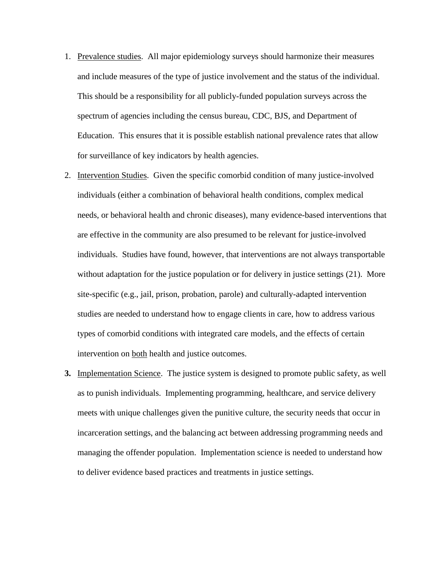- 1. Prevalence studies. All major epidemiology surveys should harmonize their measures and include measures of the type of justice involvement and the status of the individual. This should be a responsibility for all publicly-funded population surveys across the spectrum of agencies including the census bureau, CDC, BJS, and Department of Education. This ensures that it is possible establish national prevalence rates that allow for surveillance of key indicators by health agencies.
- 2. Intervention Studies. Given the specific comorbid condition of many justice-involved individuals (either a combination of behavioral health conditions, complex medical needs, or behavioral health and chronic diseases), many evidence-based interventions that are effective in the community are also presumed to be relevant for justice-involved individuals. Studies have found, however, that interventions are not always transportable without adaptation for the justice population or for delivery in justice settings (21). More site-specific (e.g., jail, prison, probation, parole) and culturally-adapted intervention studies are needed to understand how to engage clients in care, how to address various types of comorbid conditions with integrated care models, and the effects of certain intervention on both health and justice outcomes.
- **3.** Implementation Science. The justice system is designed to promote public safety, as well as to punish individuals. Implementing programming, healthcare, and service delivery meets with unique challenges given the punitive culture, the security needs that occur in incarceration settings, and the balancing act between addressing programming needs and managing the offender population. Implementation science is needed to understand how to deliver evidence based practices and treatments in justice settings.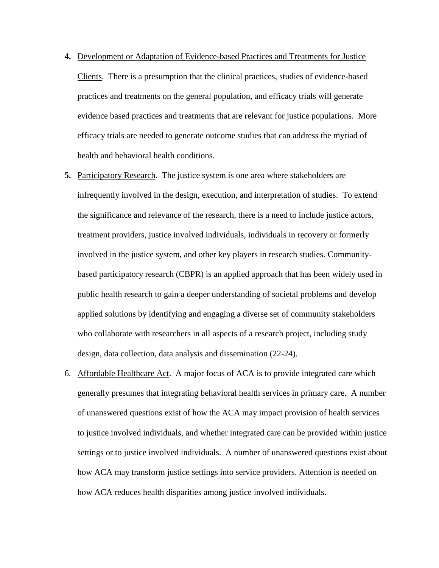- **4.** Development or Adaptation of Evidence-based Practices and Treatments for Justice Clients. There is a presumption that the clinical practices, studies of evidence-based practices and treatments on the general population, and efficacy trials will generate evidence based practices and treatments that are relevant for justice populations. More efficacy trials are needed to generate outcome studies that can address the myriad of health and behavioral health conditions.
- **5.** Participatory Research. The justice system is one area where stakeholders are infrequently involved in the design, execution, and interpretation of studies. To extend the significance and relevance of the research, there is a need to include justice actors, treatment providers, justice involved individuals, individuals in recovery or formerly involved in the justice system, and other key players in research studies. Communitybased participatory research (CBPR) is an applied approach that has been widely used in public health research to gain a deeper understanding of societal problems and develop applied solutions by identifying and engaging a diverse set of community stakeholders who collaborate with researchers in all aspects of a research project, including study design, data collection, data analysis and dissemination (22-24).
- 6. Affordable Healthcare Act. A major focus of ACA is to provide integrated care which generally presumes that integrating behavioral health services in primary care. A number of unanswered questions exist of how the ACA may impact provision of health services to justice involved individuals, and whether integrated care can be provided within justice settings or to justice involved individuals. A number of unanswered questions exist about how ACA may transform justice settings into service providers. Attention is needed on how ACA reduces health disparities among justice involved individuals.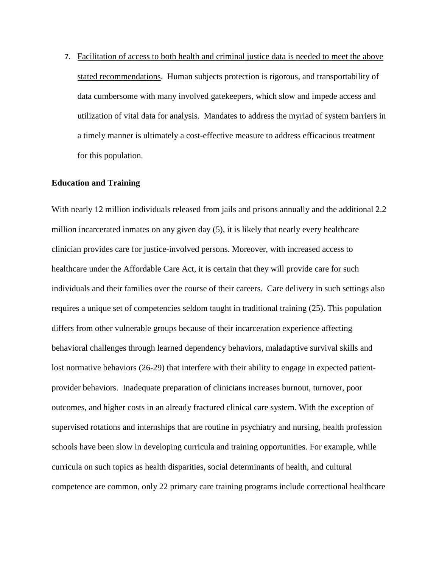7. Facilitation of access to both health and criminal justice data is needed to meet the above stated recommendations. Human subjects protection is rigorous, and transportability of data cumbersome with many involved gatekeepers, which slow and impede access and utilization of vital data for analysis. Mandates to address the myriad of system barriers in a timely manner is ultimately a cost-effective measure to address efficacious treatment for this population.

# **Education and Training**

With nearly 12 million individuals released from jails and prisons annually and the additional 2.2 million incarcerated inmates on any given day (5), it is likely that nearly every healthcare clinician provides care for justice-involved persons. Moreover, with increased access to healthcare under the Affordable Care Act, it is certain that they will provide care for such individuals and their families over the course of their careers. Care delivery in such settings also requires a unique set of competencies seldom taught in traditional training (25). This population differs from other vulnerable groups because of their incarceration experience affecting behavioral challenges through learned dependency behaviors, maladaptive survival skills and lost normative behaviors (26-29) that interfere with their ability to engage in expected patientprovider behaviors. Inadequate preparation of clinicians increases burnout, turnover, poor outcomes, and higher costs in an already fractured clinical care system. With the exception of supervised rotations and internships that are routine in psychiatry and nursing, health profession schools have been slow in developing curricula and training opportunities. For example, while curricula on such topics as health disparities, social determinants of health, and cultural competence are common, only 22 primary care training programs include correctional healthcare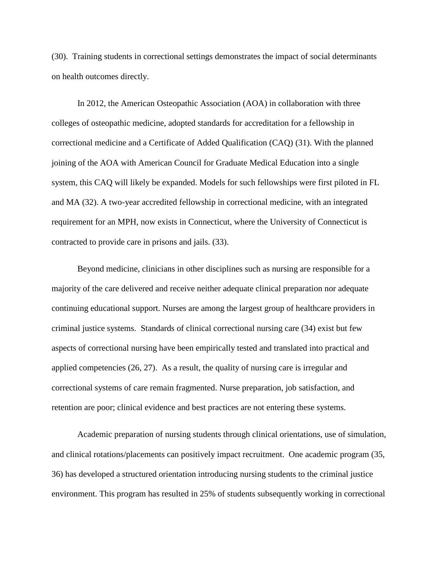(30). Training students in correctional settings demonstrates the impact of social determinants on health outcomes directly.

In 2012, the American Osteopathic Association (AOA) in collaboration with three colleges of osteopathic medicine, adopted standards for accreditation for a fellowship in correctional medicine and a Certificate of Added Qualification (CAQ) (31). With the planned joining of the AOA with American Council for Graduate Medical Education into a single system, this CAQ will likely be expanded. Models for such fellowships were first piloted in FL and MA (32). A two-year accredited fellowship in correctional medicine, with an integrated requirement for an MPH, now exists in Connecticut, where the University of Connecticut is contracted to provide care in prisons and jails. (33).

Beyond medicine, clinicians in other disciplines such as nursing are responsible for a majority of the care delivered and receive neither adequate clinical preparation nor adequate continuing educational support. Nurses are among the largest group of healthcare providers in criminal justice systems. Standards of clinical correctional nursing care (34) exist but few aspects of correctional nursing have been empirically tested and translated into practical and applied competencies (26, 27). As a result, the quality of nursing care is irregular and correctional systems of care remain fragmented. Nurse preparation, job satisfaction, and retention are poor; clinical evidence and best practices are not entering these systems.

Academic preparation of nursing students through clinical orientations, use of simulation, and clinical rotations/placements can positively impact recruitment. One academic program (35, 36) has developed a structured orientation introducing nursing students to the criminal justice environment. This program has resulted in 25% of students subsequently working in correctional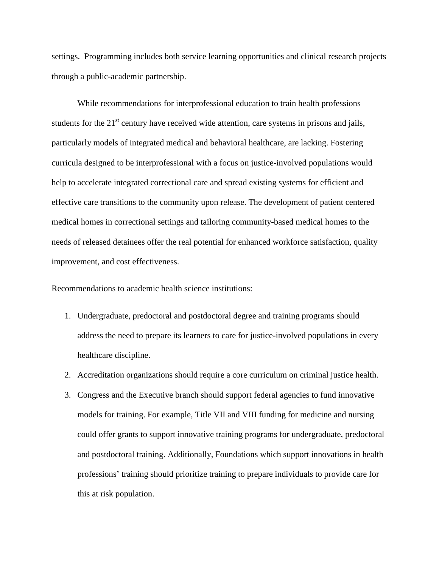settings. Programming includes both service learning opportunities and clinical research projects through a public-academic partnership.

While recommendations for interprofessional education to train health professions students for the  $21<sup>st</sup>$  century have received wide attention, care systems in prisons and jails, particularly models of integrated medical and behavioral healthcare, are lacking. Fostering curricula designed to be interprofessional with a focus on justice-involved populations would help to accelerate integrated correctional care and spread existing systems for efficient and effective care transitions to the community upon release. The development of patient centered medical homes in correctional settings and tailoring community-based medical homes to the needs of released detainees offer the real potential for enhanced workforce satisfaction, quality improvement, and cost effectiveness.

Recommendations to academic health science institutions:

- 1. Undergraduate, predoctoral and postdoctoral degree and training programs should address the need to prepare its learners to care for justice-involved populations in every healthcare discipline.
- 2. Accreditation organizations should require a core curriculum on criminal justice health.
- 3. Congress and the Executive branch should support federal agencies to fund innovative models for training. For example, Title VII and VIII funding for medicine and nursing could offer grants to support innovative training programs for undergraduate, predoctoral and postdoctoral training. Additionally, Foundations which support innovations in health professions' training should prioritize training to prepare individuals to provide care for this at risk population.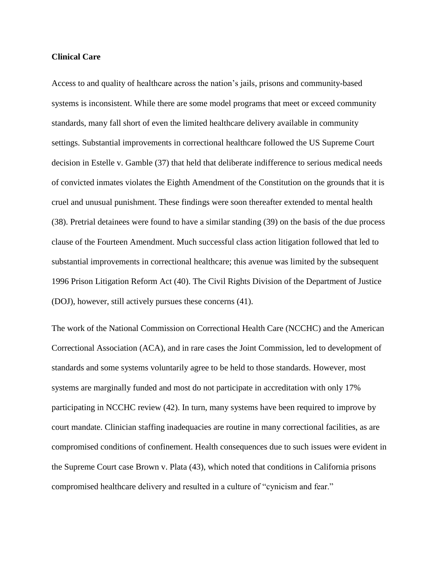# **Clinical Care**

Access to and quality of healthcare across the nation's jails, prisons and community-based systems is inconsistent. While there are some model programs that meet or exceed community standards, many fall short of even the limited healthcare delivery available in community settings. Substantial improvements in correctional healthcare followed the US Supreme Court decision in Estelle v. Gamble (37) that held that deliberate indifference to serious medical needs of convicted inmates violates the Eighth Amendment of the Constitution on the grounds that it is cruel and unusual punishment. These findings were soon thereafter extended to mental health (38). Pretrial detainees were found to have a similar standing (39) on the basis of the due process clause of the Fourteen Amendment. Much successful class action litigation followed that led to substantial improvements in correctional healthcare; this avenue was limited by the subsequent 1996 Prison Litigation Reform Act (40). The Civil Rights Division of the Department of Justice (DOJ), however, still actively pursues these concerns (41).

The work of the National Commission on Correctional Health Care (NCCHC) and the American Correctional Association (ACA), and in rare cases the Joint Commission, led to development of standards and some systems voluntarily agree to be held to those standards. However, most systems are marginally funded and most do not participate in accreditation with only 17% participating in NCCHC review (42). In turn, many systems have been required to improve by court mandate. Clinician staffing inadequacies are routine in many correctional facilities, as are compromised conditions of confinement. Health consequences due to such issues were evident in the Supreme Court case Brown v. Plata (43), which noted that conditions in California prisons compromised healthcare delivery and resulted in a culture of "cynicism and fear."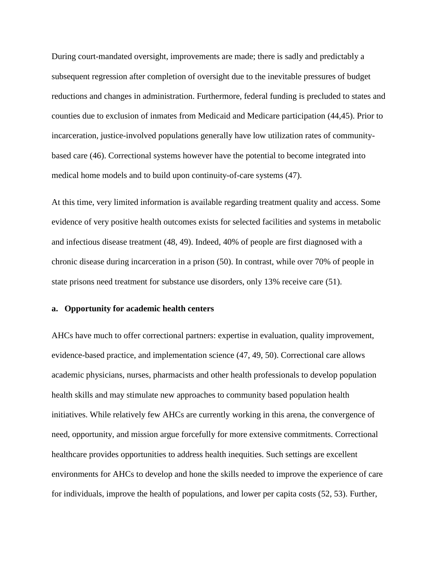During court-mandated oversight, improvements are made; there is sadly and predictably a subsequent regression after completion of oversight due to the inevitable pressures of budget reductions and changes in administration. Furthermore, federal funding is precluded to states and counties due to exclusion of inmates from Medicaid and Medicare participation (44,45). Prior to incarceration, justice-involved populations generally have low utilization rates of communitybased care (46). Correctional systems however have the potential to become integrated into medical home models and to build upon continuity-of-care systems (47).

At this time, very limited information is available regarding treatment quality and access. Some evidence of very positive health outcomes exists for selected facilities and systems in metabolic and infectious disease treatment (48, 49). Indeed, 40% of people are first diagnosed with a chronic disease during incarceration in a prison (50). In contrast, while over 70% of people in state prisons need treatment for substance use disorders, only 13% receive care (51).

## **a. Opportunity for academic health centers**

AHCs have much to offer correctional partners: expertise in evaluation, quality improvement, evidence-based practice, and implementation science (47, 49, 50). Correctional care allows academic physicians, nurses, pharmacists and other health professionals to develop population health skills and may stimulate new approaches to community based population health initiatives. While relatively few AHCs are currently working in this arena, the convergence of need, opportunity, and mission argue forcefully for more extensive commitments. Correctional healthcare provides opportunities to address health inequities. Such settings are excellent environments for AHCs to develop and hone the skills needed to improve the experience of care for individuals, improve the health of populations, and lower per capita costs (52, 53). Further,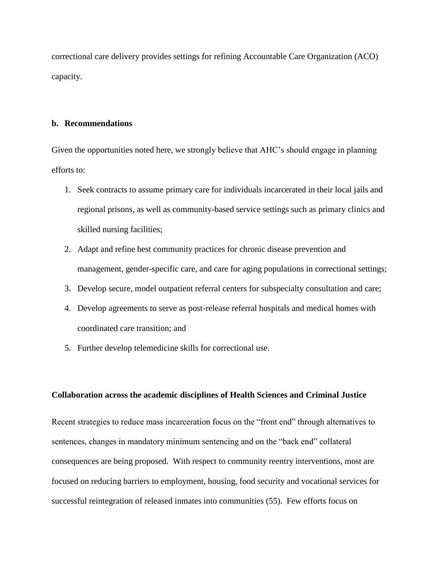correctional care delivery provides settings for refining Accountable Care Organization (ACO) capacity.

# **b. Recommendations**

Given the opportunities noted here, we strongly believe that AHC's should engage in planning efforts to:

- 1. Seek contracts to assume primary care for individuals incarcerated in their local jails and regional prisons, as well as community-based service settings such as primary clinics and skilled nursing facilities;
- 2. Adapt and refine best community practices for chronic disease prevention and management, gender-specific care, and care for aging populations in correctional settings;
- 3. Develop secure, model outpatient referral centers for subspecialty consultation and care;
- 4. Develop agreements to serve as post-release referral hospitals and medical homes with coordinated care transition; and
- 5. Further develop telemedicine skills for correctional use.

### **Collaboration across the academic disciplines of Health Sciences and Criminal Justice**

Recent strategies to reduce mass incarceration focus on the "front end" through alternatives to sentences, changes in mandatory minimum sentencing and on the "back end" collateral consequences are being proposed. With respect to community reentry interventions, most are focused on reducing barriers to employment, housing, food security and vocational services for successful reintegration of released inmates into communities (55). Few efforts focus on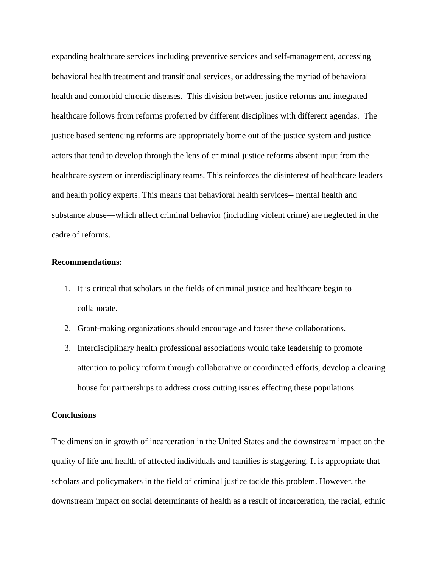expanding healthcare services including preventive services and self-management, accessing behavioral health treatment and transitional services, or addressing the myriad of behavioral health and comorbid chronic diseases. This division between justice reforms and integrated healthcare follows from reforms proferred by different disciplines with different agendas. The justice based sentencing reforms are appropriately borne out of the justice system and justice actors that tend to develop through the lens of criminal justice reforms absent input from the healthcare system or interdisciplinary teams. This reinforces the disinterest of healthcare leaders and health policy experts. This means that behavioral health services-- mental health and substance abuse—which affect criminal behavior (including violent crime) are neglected in the cadre of reforms.

# **Recommendations:**

- 1. It is critical that scholars in the fields of criminal justice and healthcare begin to collaborate.
- 2. Grant-making organizations should encourage and foster these collaborations.
- 3. Interdisciplinary health professional associations would take leadership to promote attention to policy reform through collaborative or coordinated efforts, develop a clearing house for partnerships to address cross cutting issues effecting these populations.

# **Conclusions**

The dimension in growth of incarceration in the United States and the downstream impact on the quality of life and health of affected individuals and families is staggering. It is appropriate that scholars and policymakers in the field of criminal justice tackle this problem. However, the downstream impact on social determinants of health as a result of incarceration, the racial, ethnic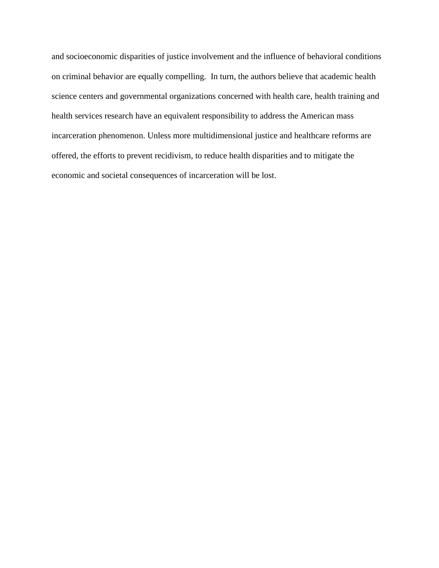and socioeconomic disparities of justice involvement and the influence of behavioral conditions on criminal behavior are equally compelling. In turn, the authors believe that academic health science centers and governmental organizations concerned with health care, health training and health services research have an equivalent responsibility to address the American mass incarceration phenomenon. Unless more multidimensional justice and healthcare reforms are offered, the efforts to prevent recidivism, to reduce health disparities and to mitigate the economic and societal consequences of incarceration will be lost.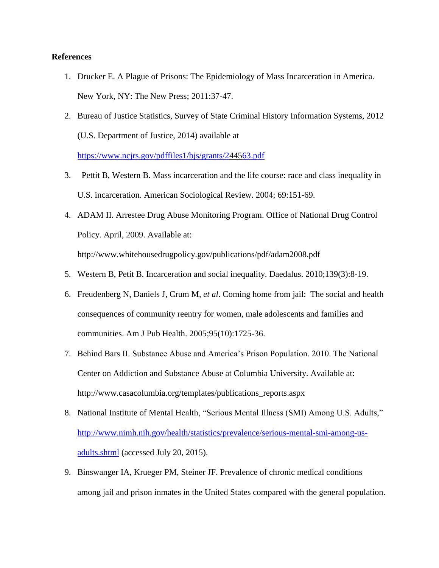# **References**

- 1. Drucker E. A Plague of Prisons: The Epidemiology of Mass Incarceration in America. New York, NY: The New Press; 2011:37-47.
- 2. Bureau of Justice Statistics, Survey of State Criminal History Information Systems, 2012 (U.S. Department of Justice, 2014) available at

<https://www.ncjrs.gov/pdffiles1/bjs/grants/244563.pdf>

- 3. Pettit B, Western B. Mass incarceration and the life course: race and class inequality in U.S. incarceration. American Sociological Review. 2004; 69:151-69.
- 4. ADAM II. Arrestee Drug Abuse Monitoring Program. Office of National Drug Control Policy. April, 2009. Available at: http://www.whitehousedrugpolicy.gov/publications/pdf/adam2008.pdf
- 5. Western B, Petit B. Incarceration and social inequality. Daedalus. 2010;139(3):8-19.
- 6. Freudenberg N, Daniels J, Crum M, *et al*. Coming home from jail: The social and health consequences of community reentry for women, male adolescents and families and communities. Am J Pub Health. 2005;95(10):1725-36.
- 7. Behind Bars II. Substance Abuse and America's Prison Population. 2010. The National Center on Addiction and Substance Abuse at Columbia University. Available at: http://www.casacolumbia.org/templates/publications\_reports.aspx
- 8. National Institute of Mental Health, "Serious Mental Illness (SMI) Among U.S. Adults," [http://www.nimh.nih.gov/health/statistics/prevalence/serious-mental-smi-among-us](http://www.nimh.nih.gov/health/statistics/prevalence/serious-mental-smi-among-us-adults.shtml)[adults.shtml](http://www.nimh.nih.gov/health/statistics/prevalence/serious-mental-smi-among-us-adults.shtml) (accessed July 20, 2015).
- 9. Binswanger IA, Krueger PM, Steiner JF. Prevalence of chronic medical conditions among jail and prison inmates in the United States compared with the general population.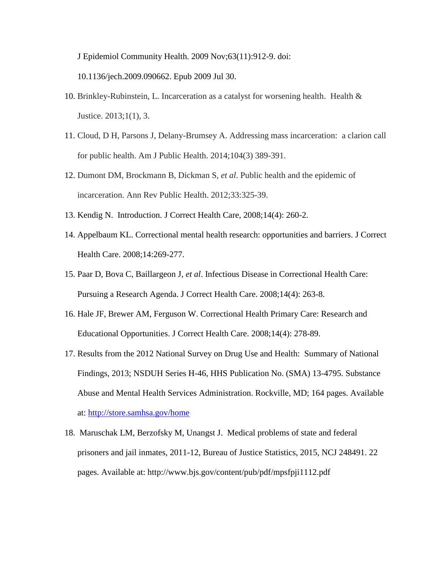J Epidemiol Community Health. 2009 Nov;63(11):912-9. doi:

10.1136/jech.2009.090662. Epub 2009 Jul 30.

- 10. Brinkley-Rubinstein, L. Incarceration as a catalyst for worsening health. Health & Justice. 2013;1(1), 3.
- 11. Cloud, D H, Parsons J, Delany-Brumsey A. Addressing mass incarceration: a clarion call for public health. Am J Public Health. 2014;104(3) 389-391.
- 12. Dumont DM, Brockmann B, Dickman S, *et al*. Public health and the epidemic of incarceration. Ann Rev Public Health. 2012;33:325-39.
- 13. Kendig N. Introduction. J Correct Health Care, 2008;14(4): 260-2.
- 14. Appelbaum KL. Correctional mental health research: opportunities and barriers. J Correct Health Care. 2008;14:269-277.
- 15. Paar D, Bova C, Baillargeon J, *et al*. Infectious Disease in Correctional Health Care: Pursuing a Research Agenda. J Correct Health Care. 2008;14(4): 263-8.
- 16. Hale JF, Brewer AM, Ferguson W. Correctional Health Primary Care: Research and Educational Opportunities. J Correct Health Care. 2008;14(4): 278-89.
- 17. Results from the 2012 National Survey on Drug Use and Health: Summary of National Findings, 2013; NSDUH Series H-46, HHS Publication No. (SMA) 13-4795. Substance Abuse and Mental Health Services Administration. Rockville, MD; 164 pages. Available at:<http://store.samhsa.gov/home>
- 18. Maruschak LM, Berzofsky M, Unangst J. Medical problems of state and federal prisoners and jail inmates, 2011-12, Bureau of Justice Statistics, 2015, NCJ 248491. 22 pages. Available at: http://www.bjs.gov/content/pub/pdf/mpsfpji1112.pdf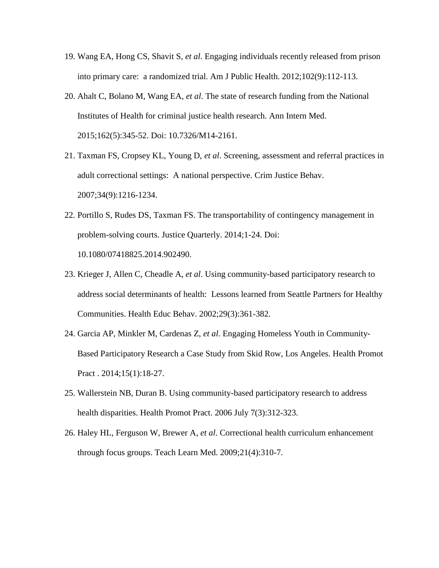- 19. Wang EA, Hong CS, Shavit S, *et al*. Engaging individuals recently released from prison into primary care: a randomized trial. Am J Public Health. 2012;102(9):112-113.
- 20. Ahalt C, Bolano M, Wang EA, *et al*. The state of research funding from the National Institutes of Health for criminal justice health research. Ann Intern Med. 2015;162(5):345-52. Doi: 10.7326/M14-2161.
- 21. Taxman FS, Cropsey KL, Young D, *et al*. Screening, assessment and referral practices in adult correctional settings: A national perspective. Crim Justice Behav. 2007;34(9):1216-1234.
- 22. Portillo S, Rudes DS, Taxman FS. The transportability of contingency management in problem-solving courts. Justice Quarterly. 2014;1-24. Doi: 10.1080/07418825.2014.902490.
- 23. Krieger J, Allen C, Cheadle A, *et al*. Using community-based participatory research to address social determinants of health: Lessons learned from Seattle Partners for Healthy Communities. Health Educ Behav. 2002;29(3):361-382.
- 24. Garcia AP, Minkler M, Cardenas Z, *et al*. Engaging Homeless Youth in Community-Based Participatory Research a Case Study from Skid Row, Los Angeles. Health Promot Pract . 2014;15(1):18-27.
- 25. Wallerstein NB, Duran B. Using community-based participatory research to address health disparities. Health Promot Pract. 2006 July 7(3):312-323.
- 26. Haley HL, Ferguson W, Brewer A, *et al*. Correctional health curriculum enhancement through focus groups. Teach Learn Med. 2009;21(4):310-7.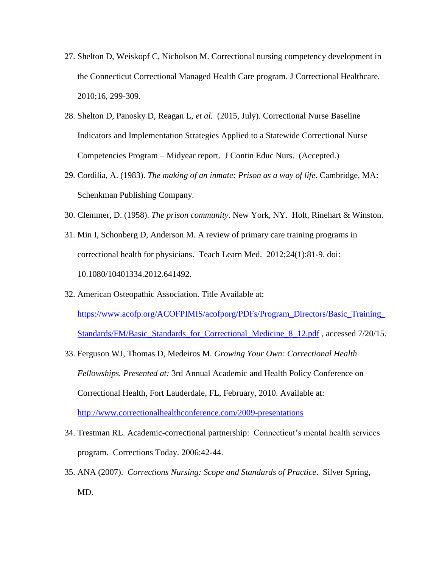- 27. Shelton D, Weiskopf C, Nicholson M. Correctional nursing competency development in the Connecticut Correctional Managed Health Care program. J Correctional Healthcare*.*  2010;16, 299-309.
- 28. Shelton D, Panosky D, Reagan L, *et al.* (2015, July). Correctional Nurse Baseline Indicators and Implementation Strategies Applied to a Statewide Correctional Nurse Competencies Program – Midyear report. J Contin Educ Nurs. (Accepted.)
- 29. Cordilia, A. (1983). *The making of an inmate: Prison as a way of life*. Cambridge, MA: Schenkman Publishing Company.
- 30. Clemmer, D. (1958). *The prison community*. New York, NY. Holt, Rinehart & Winston.
- 31. Min I, Schonberg D, Anderson M. A review of primary care training programs in correctional health for physicians. [Teach Learn Med.](http://www.ncbi.nlm.nih.gov/pubmed/22250940) 2012;24(1):81-9. doi: 10.1080/10401334.2012.641492.
- 32. American Osteopathic Association. Title Available at: [https://www.acofp.org/ACOFPIMIS/acofporg/PDFs/Program\\_Directors/Basic\\_Training\\_](https://www.acofp.org/ACOFPIMIS/acofporg/PDFs/Program_Directors/Basic_Training_Standards/FM/Basic_Standards_for_Correctional_Medicine_8_12.pdf) [Standards/FM/Basic\\_Standards\\_for\\_Correctional\\_Medicine\\_8\\_12.pdf](https://www.acofp.org/ACOFPIMIS/acofporg/PDFs/Program_Directors/Basic_Training_Standards/FM/Basic_Standards_for_Correctional_Medicine_8_12.pdf) , accessed 7/20/15.
- 33. Ferguson WJ, Thomas D, Medeiros M. *Growing Your Own: Correctional Health Fellowships. Presented at:* 3rd Annual Academic and Health Policy Conference on Correctional Health, Fort Lauderdale, FL, February, 2010. Available at: <http://www.correctionalhealthconference.com/2009-presentations>
- 34. Trestman RL. Academic-correctional partnership: Connecticut's mental health services program. Corrections Today. 2006:42-44.
- 35. ANA (2007). *Corrections Nursing: Scope and Standards of Practice*. Silver Spring, MD.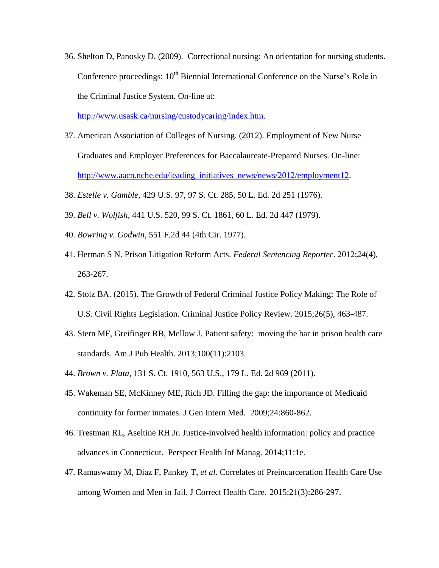36. Shelton D, Panosky D. (2009). Correctional nursing: An orientation for nursing students. Conference proceedings:  $10<sup>th</sup>$  Biennial International Conference on the Nurse's Role in the Criminal Justice System. On-line at:

[http://www.usask.ca/nursing/custodycaring/index.htm.](http://www.usask.ca/nursing/custodycaring/index.htm)

- 37. American Association of Colleges of Nursing. (2012). Employment of New Nurse Graduates and Employer Preferences for Baccalaureate-Prepared Nurses. On-line: [http://www.aacn.nche.edu/leading\\_initiatives\\_news/news/2012/employment12.](http://www.aacn.nche.edu/leading_initiatives_news/news/2012/employment12)
- 38. *Estelle v. Gamble*, 429 U.S. 97, 97 S. Ct. 285, 50 L. Ed. 2d 251 (1976).
- 39. *Bell v. Wolfish*, 441 U.S. 520, 99 S. Ct. 1861, 60 L. Ed. 2d 447 (1979).
- 40. *Bowring v. Godwin*, 551 F.2d 44 (4th Cir. 1977).
- 41. Herman S N. Prison Litigation Reform Acts. *Federal Sentencing Reporter*. 2012;*24*(4), 263-267.
- 42. Stolz BA. (2015). The Growth of Federal Criminal Justice Policy Making: The Role of U.S. Civil Rights Legislation. Criminal Justice Policy Review. 2015;26(5), 463-487.
- 43. Stern MF, Greifinger RB, Mellow J. Patient safety: moving the bar in prison health care standards. Am J Pub Health. 2013;100(11):2103.
- 44. *Brown v. Plata*, 131 S. Ct. 1910, 563 U.S., 179 L. Ed. 2d 969 (2011).
- 45. Wakeman SE, McKinney ME, Rich JD. Filling the gap: the importance of Medicaid continuity for former inmates. J Gen Intern Med. 2009;24:860-862.
- 46. Trestman RL, Aseltine RH Jr. Justice-involved health information: policy and practice advances in Connecticut. Perspect Health Inf Manag. 2014;11:1e.
- 47. Ramaswamy M, Diaz F, Pankey T, *et al*. Correlates of Preincarceration Health Care Use among Women and Men in Jail. J Correct Health Care. 2015;21(3):286-297.